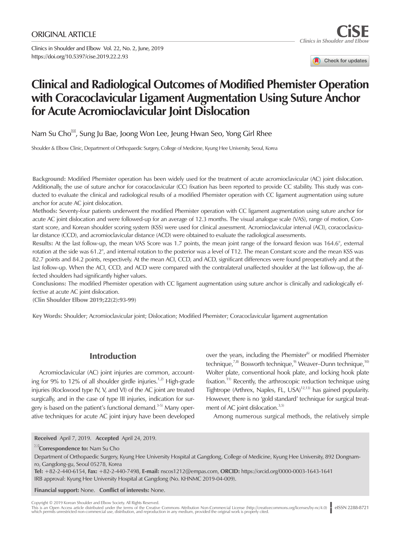Clinics in Shoulder and Elbow Vol. 22, No. 2, June, 2019 https://doi.org/10.5397/cise.2019.22.2.93

Check for updates

# **Clinical and Radiological Outcomes of Modified Phemister Operation with Coracoclavicular Ligament Augmentation Using Suture Anchor for Acute Acromioclavicular Joint Dislocation**

Nam Su Cho<sup> $\overline{B}$ </sup>, Sung Ju Bae, Joong Won Lee, Jeung Hwan Seo, Yong Girl Rhee

Shoulder & Elbow Clinic, Department of Orthopaedic Surgery, College of Medicine, Kyung Hee University, Seoul, Korea

Background: Modified Phemister operation has been widely used for the treatment of acute acromioclavicular (AC) joint dislocation. Additionally, the use of suture anchor for coracoclavicular (CC) fixation has been reported to provide CC stability. This study was conducted to evaluate the clinical and radiological results of a modified Phemister operation with CC ligament augmentation using suture anchor for acute AC joint dislocation.

Methods: Seventy-four patients underwent the modified Phemister operation with CC ligament augmentation using suture anchor for acute AC joint dislocation and were followed-up for an average of 12.3 months. The visual analogue scale (VAS), range of motion, Constant score, and Korean shoulder scoring system (KSS) were used for clinical assessment. Acromioclavicular interval (ACI), coracoclavicular distance (CCD), and acromioclavicular distance (ACD) were obtained to evaluate the radiological assessments.

Results: At the last follow-up, the mean VAS Score was 1.7 points, the mean joint range of the forward flexion was 164.6°, external rotation at the side was 61.2°, and internal rotation to the posterior was a level of T12. The mean Constant score and the mean KSS was 82.7 points and 84.2 points, respectively. At the mean ACI, CCD, and ACD, significant differences were found preoperatively and at the last follow-up. When the ACI, CCD, and ACD were compared with the contralateral unaffected shoulder at the last follow-up, the affected shoulders had significantly higher values.

Conclusions: The modified Phemister operation with CC ligament augmentation using suture anchor is clinically and radiologically effective at acute AC joint dislocation.

(Clin Shoulder Elbow 2019;22(2):93-99)

Key Words: Shoulder; Acromioclavicular joint; Dislocation; Modified Phemister; Coracoclavicular ligament augmentation

# Introduction

Acromioclavicular (AC) joint injuries are common, accounting for 9% to 12% of all shoulder girdle injuries.<sup>1,2)</sup> High-grade injuries (Rockwood type IV, V, and VI) of the AC joint are treated surgically, and in the case of type III injuries, indication for surgery is based on the patient's functional demand. $3-5$ ) Many operative techniques for acute AC joint injury have been developed over the years, including the Phemister $6$  or modified Phemister technique, $^{7,8)}$  Bosworth technique, $^{9)}$  Weaver–Dunn technique, $^{10}$ Wolter plate, conventional hook plate, and locking hook plate fixation.<sup>11)</sup> Recently, the arthroscopic reduction technique using Tightrope (Arthrex, Naples, FL, USA)<sup>12,13)</sup> has gained popularity. However, there is no 'gold standard' technique for surgical treatment of AC joint dislocation. $3,5$ )

Among numerous surgical methods, the relatively simple

Tel: +82-2-440-6154, Fax: +82-2-440-7498, E-mail: [nscos1212@empas.com](mailto:nscos1212@empas.com), ORCID: https://orcid.org/0000-0003-1643-1641 IRB approval: Kyung Hee University Hospital at Gangdong (No. KHNMC 2019-04-009).

Financial support: None. Conflict of interests: None.

Copyright © 2019 Korean Shoulder and Elbow Society. All Rights Reserved.

This is an Open Access article distributed under the terms of the Creative Commons Attribution Non-Commercial License (http://creativecommons.org/licenses/by-nc/4.0) | eISSN 2288-8721<br>which permits unrestricted non-commerc

Received April 7, 2019. Accepted April 24, 2019.

**EX**Correspondence to: Nam Su Cho

Department of Orthopaedic Surgery, Kyung Hee University Hospital at Gangdong, College of Medicine, Kyung Hee University, 892 Dongnamro, Gangdong-gu, Seoul 05278, Korea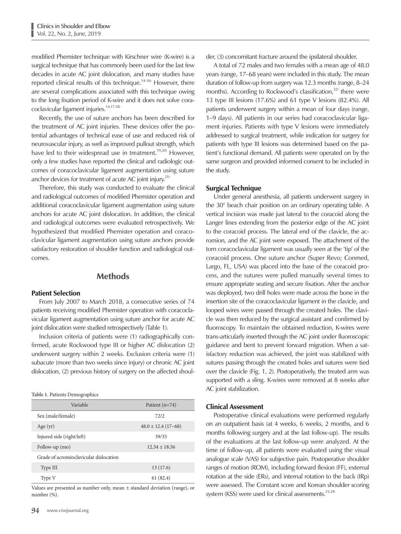modified Phemister technique with Kirschner wire (K-wire) is a surgical technique that has commonly been used for the last few decades in acute AC joint dislocation, and many studies have reported clinical results of this technique.<sup>14-16)</sup> However, there are several complications associated with this technique owing to the long fixation period of K-wire and it does not solve coracoclavicular ligament injuries.<sup>14,17,18)</sup>

Recently, the use of suture anchors has been described for the treatment of AC joint injuries. These devices offer the potential advantages of technical ease of use and reduced risk of neurovascular injury, as well as improved pullout strength, which have led to their widespread use in treatment.<sup>19,20)</sup> However, only a few studies have reported the clinical and radiologic outcomes of coracoclavicular ligament augmentation using suture anchor devices for treatment of acute AC joint injury.<sup>21)</sup>

Therefore, this study was conducted to evaluate the clinical and radiological outcomes of modified Phemister operation and additional coracoclavicular ligament augmentation using suture anchors for acute AC joint dislocation. In addition, the clinical and radiological outcomes were evaluated retrospectively. We hypothesized that modified Phemister operation and coracoclavicular ligament augmentation using suture anchors provide satisfactory restoration of shoulder function and radiological outcomes.

## **Methods**

## Patient Selection

From July 2007 to March 2018, a consecutive series of 74 patients receiving modified Phemister operation with coracoclavicular ligament augmentation using suture anchor for acute AC joint dislocation were studied retrospectively (Table 1).

Inclusion criteria of patients were (1) radiographically confirmed, acute Rockwood type III or higher AC dislocation (2) underwent surgery within 2 weeks. Exclusion criteria were (1) subacute (more than two weeks since injury) or chronic AC joint dislocation, (2) previous history of surgery on the affected shoul-

**Table 1.** Patients Demographics

| Variable                               | Patient $(n=74)$       |
|----------------------------------------|------------------------|
| Sex (male/female)                      | 72/2                   |
| Age $(yr)$                             | $48.0 \pm 12.4(17-68)$ |
| Injured side (right/left)              | 39/35                  |
| Follow-up (mo)                         | $12.34 + 18.56$        |
| Grade of acromioclavicular dislocation |                        |
| Type III                               | 13(17.6)               |
| Type V                                 | 61(82.4)               |

Values are presented as number only, mean ± standard deviation (range), or number (%).

der, (3) concomitant fracture around the ipsilateral shoulder.

A total of 72 males and two females with a mean age of 48.0 years (range, 17–68 years) were included in this study. The mean duration of follow-up from surgery was 12.3 months (range, 8–24 months). According to Rockwood's classification, $22$  there were 13 type III lesions (17.6%) and 61 type V lesions (82.4%). All patients underwent surgery within a mean of four days (range, 1–9 days). All patients in our series had coracoclavicular ligament injuries. Patients with type V lesions were immediately addressed to surgical treatment, while indication for surgery for patients with type III lesions was determined based on the patient's functional demand. All patients were operated on by the same surgeon and provided informed consent to be included in the study.

#### Surgical Technique

Under general anesthesia, all patients underwent surgery in the 30° beach chair position on an ordinary operating table. A vertical incision was made just lateral to the coracoid along the Langer lines extending from the posterior edge of the AC joint to the coracoid process. The lateral end of the clavicle, the acromion, and the AC joint were exposed. The attachment of the torn coracoclavicular ligament was usually seen at the 'tip' of the coracoid process. One suture anchor (Super Revo; Conmed, Largo, FL, USA) was placed into the base of the coracoid process, and the sutures were pulled manually several times to ensure appropriate seating and secure fixation. After the anchor was deployed, two drill holes were made across the bone in the insertion site of the coracoclavicular ligament in the clavicle, and looped wires were passed through the created holes. The clavicle was then reduced by the surgical assistant and confirmed by fluoroscopy. To maintain the obtained reduction, K-wires were trans-articularly inserted through the AC joint under fluoroscopic guidance and bent to prevent forward migration. When a satisfactory reduction was achieved, the joint was stabilized with sutures passing through the created holes and sutures were tied over the clavicle (Fig. 1, 2). Postoperatively, the treated arm was supported with a sling. K-wires were removed at 8 weeks after AC joint stabilization.

## Clinical Assessment

Postoperative clinical evaluations were performed regularly on an outpatient basis (at 4 weeks, 6 weeks, 2 months, and 6 months following surgery and at the last follow-up). The results of the evaluations at the last follow-up were analyzed. At the time of follow-up, all patients were evaluated using the visual analogue scale (VAS) for subjective pain. Postoperative shoulder ranges of motion (ROM), including forward flexion (FF), external rotation at the side (ERs), and internal rotation to the back (IRp) were assessed. The Constant score and Korean shoulder scoring system (KSS) were used for clinical assessments.<sup>23,24)</sup>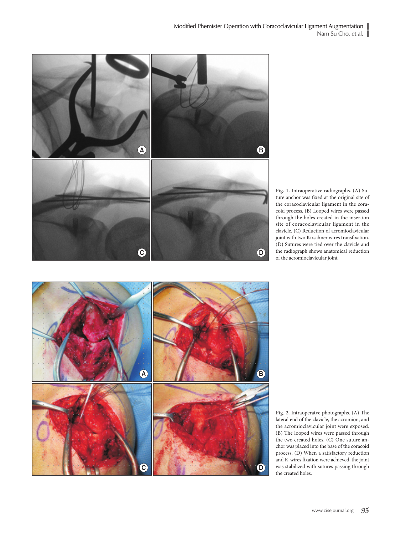

**Fig. 1.** Intraoperative radiographs. (A) Suture anchor was fixed at the original site of the coracoclavicular ligament in the coracoid process. (B) Looped wires were passed through the holes created in the insertion site of coracoclavicular ligament in the clavicle. (C) Reduction of acromioclavicular joint with two Kirschner wires transfixation. (D) Sutures were tied over the clavicle and the radiograph shows anatomical reduction of the acromioclavicular joint.



**Fig. 2.** Intraoperatve photographs. (A) The lateral end of the clavicle, the acromion, and the acromioclavicular joint were exposed. (B) The looped wires were passed through the two created holes. (C) One suture anchor was placed into the base of the coracoid process. (D) When a satisfactory reduction and K-wires fixation were achieved, the joint was stabilized with sutures passing through the created holes.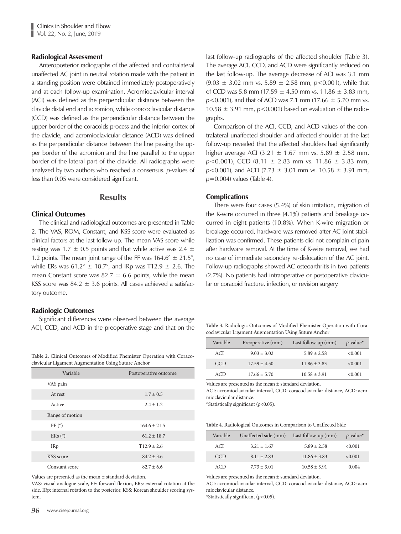## Radiological Assessment

Anteroposterior radiographs of the affected and contralateral unaffected AC joint in neutral rotation made with the patient in a standing position were obtained immediately postoperatively and at each follow-up examination. Acromioclavicular interval (ACI) was defined as the perpendicular distance between the clavicle distal end and acromion, while coracoclavicular distance (CCD) was defined as the perpendicular distance between the upper border of the coracoids process and the inferior cortex of the clavicle, and acromioclavicular distance (ACD) was defined as the perpendicular distance between the line passing the upper border of the acromion and the line parallel to the upper border of the lateral part of the clavicle. All radiographs were analyzed by two authors who reached a consensus. *p*-values of less than 0.05 were considered significant.

## Results

## Clinical Outcomes

The clinical and radiological outcomes are presented in Table 2. The VAS, ROM, Constant, and KSS score were evaluated as clinical factors at the last follow-up. The mean VAS score while resting was 1.7  $\pm$  0.5 points and that while active was 2.4  $\pm$ 1.2 points. The mean joint range of the FF was  $164.6^{\circ} \pm 21.5^{\circ}$ , while ERs was  $61.2^{\circ} \pm 18.7^{\circ}$ , and IRp was T12.9  $\pm$  2.6. The mean Constant score was  $82.7 \pm 6.6$  points, while the mean KSS score was  $84.2 \pm 3.6$  points. All cases achieved a satisfactory outcome.

## Radiologic Outcomes

Significant differences were observed between the average ACI, CCD, and ACD in the preoperative stage and that on the

**Table 2.** Clinical Outcomes of Modified Phemister Operation with Coracoclavicular Ligament Augmentation Using Suture Anchor

| Variable        | Postoperative outcome |  |
|-----------------|-----------------------|--|
| VAS pain        |                       |  |
| At rest         | $1.7 \pm 0.5$         |  |
| Active          | $2.4 + 1.2$           |  |
| Range of motion |                       |  |
| FF(°)           | $164.6 \pm 21.5$      |  |
| ERS (°)         | $61.2 \pm 18.7$       |  |
| IRp             | $T12.9 + 2.6$         |  |
| KSS score       | $84.2 \pm 3.6$        |  |
| Constant score  | $82.7 + 6.6$          |  |

Values are presented as the mean ± standard deviation.

VAS: visual analogue scale, FF: forward flexion, ERs: external rotation at the side, IRp: internal rotation to the posterior, KSS: Korean shoulder scoring system.

**96** www.cisejournal.org

last follow-up radiographs of the affected shoulder (Table 3). The average ACI, CCD, and ACD were significantly reduced on the last follow-up. The average decrease of ACI was 3.1 mm (9.03 ± 3.02 mm vs. 5.89 ± 2.58 mm, *p*<0.001), while that of CCD was 5.8 mm (17.59  $\pm$  4.50 mm vs. 11.86  $\pm$  3.83 mm, *p*<0.001), and that of ACD was 7.1 mm (17.66  $\pm$  5.70 mm vs. 10.58  $\pm$  3.91 mm,  $p$ <0.001) based on evaluation of the radiographs.

Comparison of the ACI, CCD, and ACD values of the contralateral unaffected shoulder and affected shoulder at the last follow-up revealed that the affected shoulders had significantly higher average ACI (3.21  $\pm$  1.67 mm vs. 5.89  $\pm$  2.58 mm, *p*<0.001), CCD (8.11 ± 2.83 mm vs. 11.86 ± 3.83 mm,  $p$ <0.001), and ACD (7.73  $\pm$  3.01 mm vs. 10.58  $\pm$  3.91 mm, *p*=0.004) values (Table 4).

## **Complications**

There were four cases (5.4%) of skin irritation, migration of the K-wire occurred in three (4.1%) patients and breakage occurred in eight patients (10.8%). When K-wire migration or breakage occurred, hardware was removed after AC joint stabilization was confirmed. These patients did not complain of pain after hardware removal. At the time of K-wire removal, we had no case of immediate secondary re-dislocation of the AC joint. Follow-up radiographs showed AC osteoarthritis in two patients (2.7%). No patients had intraoperative or postoperative clavicular or coracoid fracture, infection, or revision surgery.

**Table 3.** Radiologic Outcomes of Modified Phemister Operation with Coracoclavicular Ligament Augmentation Using Suture Anchor

| Variable   | Preoperative (mm) | Last follow-up $(mm)$ | $p$ -value <sup>*</sup> |
|------------|-------------------|-----------------------|-------------------------|
| ACI        | $9.03 \pm 3.02$   | $5.89 + 2.58$         | <0.001                  |
| <b>CCD</b> | $17.59 \pm 4.50$  | $11.86 \pm 3.83$      | < 0.001                 |
| ACD        | $17.66 \pm 5.70$  | $10.58 \pm 3.91$      | < 0.001                 |

Values are presented as the mean ± standard deviation.

ACI: acromioclavicular interval, CCD: coracoclavicular distance, ACD: acromioclavicular distance.

\*Statistically significant (*p*<0.05).

| Table 4. Radiological Outcomes in Comparison to Unaffected Side |  |  |
|-----------------------------------------------------------------|--|--|
|                                                                 |  |  |

| Variable   | Unaffected side (mm) | Last follow-up $(mm)$ | $p$ -value <sup>*</sup> |
|------------|----------------------|-----------------------|-------------------------|
| ACI        | $3.21 + 1.67$        | $5.89 + 2.58$         | <0.001                  |
| <b>CCD</b> | $8.11 + 2.83$        | $11.86 \pm 3.83$      | <0.001                  |
| ACD        | $7.73 \pm 3.01$      | $10.58 \pm 3.91$      | 0.004                   |

Values are presented as the mean ± standard deviation.

ACI: acromioclavicular interval, CCD: coracoclavicular distance, ACD: acromioclavicular distance.

\*Statistically significant (*p*<0.05).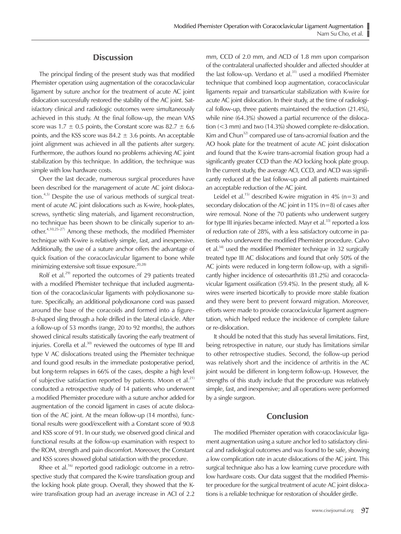## **Discussion**

The principal finding of the present study was that modified Phemister operation using augmentation of the coracoclavicular ligament by suture anchor for the treatment of acute AC joint dislocation successfully restored the stability of the AC joint. Satisfactory clinical and radiologic outcomes were simultaneously achieved in this study. At the final follow-up, the mean VAS score was  $1.7 \pm 0.5$  points, the Constant score was  $82.7 \pm 6.6$ points, and the KSS score was  $84.2 \pm 3.6$  points. An acceptable joint alignment was achieved in all the patients after surgery. Furthermore, the authors found no problems achieving AC joint stabilization by this technique. In addition, the technique was simple with low hardware costs.

Over the last decade, numerous surgical procedures have been described for the management of acute AC joint dislocation.<sup>4,5)</sup> Despite the use of various methods of surgical treatment of acute AC joint dislocations such as K-wire, hook-plates, screws, synthetic sling materials, and ligament reconstruction, no technique has been shown to be clinically superior to another.4,10,25-27) Among these methods, the modified Phemister technique with K-wire is relatively simple, fast, and inexpensive. Additionally, the use of a suture anchor offers the advantage of quick fixation of the coracoclavicular ligament to bone while minimizing extensive soft tissue exposure.<sup>20,28)</sup>

Rolf et al.<sup>29)</sup> reported the outcomes of 29 patients treated with a modified Phemister technique that included augmentation of the coracoclavicular ligaments with polydioxanone suture. Specifically, an additional polydioxanone cord was passed around the base of the coracoids and formed into a figure-8-shaped sling through a hole drilled in the lateral clavicle. After a follow-up of 53 months (range, 20 to 92 months), the authors showed clinical results statistically favoring the early treatment of injuries. Corella et al.<sup>30)</sup> reviewed the outcomes of type III and type V AC dislocations treated using the Phemister technique and found good results in the immediate postoperative period, but long-term relapses in 66% of the cases, despite a high level of subjective satisfaction reported by patients. Moon et al.<sup>21)</sup> conducted a retrospective study of 14 patients who underwent a modified Phemister procedure with a suture anchor added for augmentation of the conoid ligament in cases of acute dislocation of the AC joint. At the mean follow-up (14 months), functional results were good/excellent with a Constant score of 90.8 and KSS score of 91. In our study, we observed good clinical and functional results at the follow-up examination with respect to the ROM, strength and pain discomfort. Moreover, the Constant and KSS scores showed global satisfaction with the procedure.

Rhee et al.<sup>16)</sup> reported good radiologic outcome in a retrospective study that compared the K-wire transfixation group and the locking hook plate group. Overall, they showed that the Kwire transfixation group had an average increase in ACI of 2.2 mm, CCD of 2.0 mm, and ACD of 1.8 mm upon comparison of the contralateral unaffected shoulder and affected shoulder at the last follow-up. Verdano et al. $31)$  used a modified Phemister technique that combined loop augmentation, coracoclavicular ligaments repair and transarticular stabilization with K-wire for acute AC joint dislocation. In their study, at the time of radiological follow-up, three patients maintained the reduction (21.4%), while nine (64.3%) showed a partial recurrence of the dislocation (<3 mm) and two (14.3%) showed complete re-dislocation. Kim and Chun<sup>32)</sup> compared use of tans-acromial fixation and the AO hook plate for the treatment of acute AC joint dislocation and found that the K-wire trans-acromial fixation group had a significantly greater CCD than the AO locking hook plate group. In the current study, the average ACI, CCD, and ACD was significantly reduced at the last follow-up and all patients maintained an acceptable reduction of the AC joint.

Leidel et al.<sup>15)</sup> described K-wire migration in 4% (n=3) and secondary dislocation of the AC joint in 11% (n=8) of cases after wire removal. None of the 70 patients who underwent surgery for type III injuries became infected. Mayr et al. $33$  reported a loss of reduction rate of 28%, with a less satisfactory outcome in patients who underwent the modified Phemister procedure. Calvo et al.34) used the modified Phemister technique in 32 surgically treated type III AC dislocations and found that only 50% of the AC joints were reduced in long-term follow-up, with a significantly higher incidence of osteoarthritis (81.2%) and coracoclavicular ligament ossification (59.4%). In the present study, all Kwires were inserted bicortically to provide more stable fixation and they were bent to prevent forward migration. Moreover, efforts were made to provide coracoclavicular ligament augmentation, which helped reduce the incidence of complete failure or re-dislocation.

It should be noted that this study has several limitations. First, being retrospective in nature, our study has limitations similar to other retrospective studies. Second, the follow-up period was relatively short and the incidence of arthritis in the AC joint would be different in long-term follow-up. However, the strengths of this study include that the procedure was relatively simple, fast, and inexpensive; and all operations were performed by a single surgeon.

## Conclusion

The modified Phemister operation with coracoclavicular ligament augmentation using a suture anchor led to satisfactory clinical and radiological outcomes and was found to be safe, showing a low complication rate in acute dislocations of the AC joint. This surgical technique also has a low learning curve procedure with low hardware costs. Our data suggest that the modified Phemister procedure for the surgical treatment of acute AC joint dislocations is a reliable technique for restoration of shoulder girdle.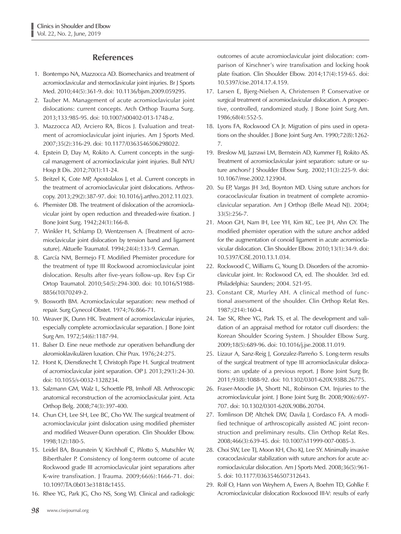# References

- 1. Bontempo NA, Mazzocca AD. Biomechanics and treatment of acromioclavicular and sternoclavicular joint injuries. Br J Sports Med. 2010;44(5):361-9. doi: 10.1136/bjsm.2009.059295.
- 2. Tauber M. Management of acute acromioclavicular joint dislocations: current concepts. Arch Orthop Trauma Surg. 2013;133:985-95. doi: 10.1007/s00402-013-1748-z.
- 3. Mazzocca AD, Arciero RA, Bicos J. Evaluation and treatment of acromioclavicular joint injuries. Am J Sports Med. 2007;35(2):316-29. doi: 10.1177/0363546506298022.
- 4. Epstein D, Day M, Rokito A. Current concepts in the surgical management of acromioclavicular joint injuries. Bull NYU Hosp Jt Dis. 2012;70(1):11-24.
- 5. Beitzel K, Cote MP, Apostolakos J, et al. Current concepts in the treatment of acromioclavicular joint dislocations. Arthroscopy. 2013;29(2):387-97. doi: 10.1016/j.arthro.2012.11.023.
- 6. Phemister DB. The treatment of dislocation of the acromioclavicular joint by open reduction and threaded-wire fixation. J Bone Joint Surg. 1942;24(1):166-8.
- 7. Winkler H, Schlamp D, Wentzensen A. [Treatment of acromioclavicular joint dislocation by tension band and ligament suture]. Aktuelle Traumatol. 1994;24(4):133-9. German.
- 8. García NM, Bermejo FT. Modified Phemister procedure for the treatment of type III Rockwood acromioclavicular joint dislocation. Results after five-years follow-up. Rev Esp Cir Ortop Traumatol. 2010;54(5):294-300. doi: 10.1016/S1988- 8856(10)70249-2.
- 9. Bosworth BM. Acromioclavicular separation: new method of repair. Surg Gynecol Obstet. 1974;76:866-71.
- 10. Weaver JK, Dunn HK. Treatment of acromioclavicular injuries, especially complete acromioclavicular separation. J Bone Joint Surg Am. 1972;54(6):1187-94.
- 11. Balser D. Eine neue methode zur operativen behandlung der akromioklavikulären luxation. Chir Prax. 1976;24:275.
- 12. Horst K, Dienstknecht T, Christoph Pape H. Surgical treatment of acromioclavicular joint separation. OP J. 2013;29(1):24-30. doi: 10.1055/s-0032-1328234.
- 13. Salzmann GM, Walz L, Schoettle PB, Imhoff AB. Arthroscopic anatomical reconstruction of the acromioclavicular joint. Acta Orthop Belg. 2008;74(3):397-400.
- 14. Chun CH, Lee SH, Lee BC, Cho YW. The surgical treatment of acromioclavicular joint dislocation using modified phemister and modified Weaver-Dunn operation. Clin Shoulder Elbow. 1998;1(2):180-5.
- 15. Leidel BA, Braunstein V, Kirchhoff C, Pilotto S, Mutschler W, Biberthaler P. Consistency of long-term outcome of acute Rockwood grade III acromioclavicular joint separations after K-wire transfixation. J Trauma. 2009;66(6):1666-71. doi: 10.1097/TA.0b013e31818c1455.
- 16. Rhee YG, Park JG, Cho NS, Song WJ. Clinical and radiologic

outcomes of acute acromioclavicular joint dislocation: comparison of Kirschner's wire transfixation and locking hook plate fixation. Clin Shoulder Elbow. 2014;17(4):159-65. doi: 10.5397/cise.2014.17.4.159.

- 17. Larsen E, Bjerg-Nielsen A, Christensen P. Conservative or surgical treatment of acromioclavicular dislocation. A prospective, controlled, randomized study. J Bone Joint Surg Am. 1986;68(4):552-5.
- 18. Lyons FA, Rockwood CA Jr. Migration of pins used in operations on the shoulder. J Bone Joint Surg Am. 1990;72(8):1262- 7.
- 19. Breslow MJ, Jazrawi LM, Bernstein AD, Kummer FJ, Rokito AS. Treatment of acromioclavicular joint separation: suture or suture anchors? J Shoulder Elbow Surg. 2002;11(3):225-9. doi: 10.1067/mse.2002.123904.
- 20. Su EP, Vargas JH 3rd, Boynton MD. Using suture anchors for coracoclavicular fixation in treatment of complete acromioclavicular separation. Am J Orthop (Belle Mead NJ). 2004; 33(5):256-7.
- 21. Moon GH, Nam IH, Lee YH, Kim KC, Lee JH, Ahn GY. The modified phemister operation with the suture anchor added for the augmentation of conoid ligament in acute acromioclavicular dislocation. Clin Shoulder Elbow. 2010;13(1):34-9. doi: 10.5397/CiSE.2010.13.1.034.
- 22. Rockwood C, Williams G, Young D. Disorders of the acromioclavicular joint. In: Rockwood CA, ed. The shoulder. 3rd ed. Philadelphia: Saunders; 2004. 521-95.
- 23. Constant CR, Murley AH. A clinical method of functional assessment of the shoulder. Clin Orthop Relat Res. 1987;(214):160-4.
- 24. Tae SK, Rhee YG, Park TS, et al. The development and validation of an appraisal method for rotator cuff disorders: the Korean Shoulder Scoring System. J Shoulder Elbow Surg. 2009;18(5):689-96. doi: 10.1016/j.jse.2008.11.019.
- 25. Lizaur A, Sanz-Reig J, Gonzalez-Parreño S. Long-term results of the surgical treatment of type III acromioclavicular dislocations: an update of a previous report. J Bone Joint Surg Br. 2011;93(8):1088-92. doi: 10.1302/0301-620X.93B8.26775.
- 26. Fraser-Moodie JA, Shortt NL, Robinson CM. Injuries to the acromioclavicular joint. J Bone Joint Surg Br. 2008;90(6):697- 707. doi: 10.1302/0301-620X.90B6.20704.
- 27. Tomlinson DP, Altchek DW, Davila J, Cordasco FA. A modified technique of arthroscopically assisted AC joint reconstruction and preliminary results. Clin Orthop Relat Res. 2008;466(3):639-45. doi: 10.1007/s11999-007-0085-3.
- 28. Choi SW, Lee TJ, Moon KH, Cho KJ, Lee SY. Minimally invasive coracoclavicular stabilization with suture anchors for acute acromioclavicular dislocation. Am J Sports Med. 2008;36(5):961- 5. doi: 10.1177/0363546507312643.
- 29. Rolf O, Hann von Weyhern A, Ewers A, Boehm TD, Gohlke F. Acromioclavicular dislocation Rockwood III-V: results of early